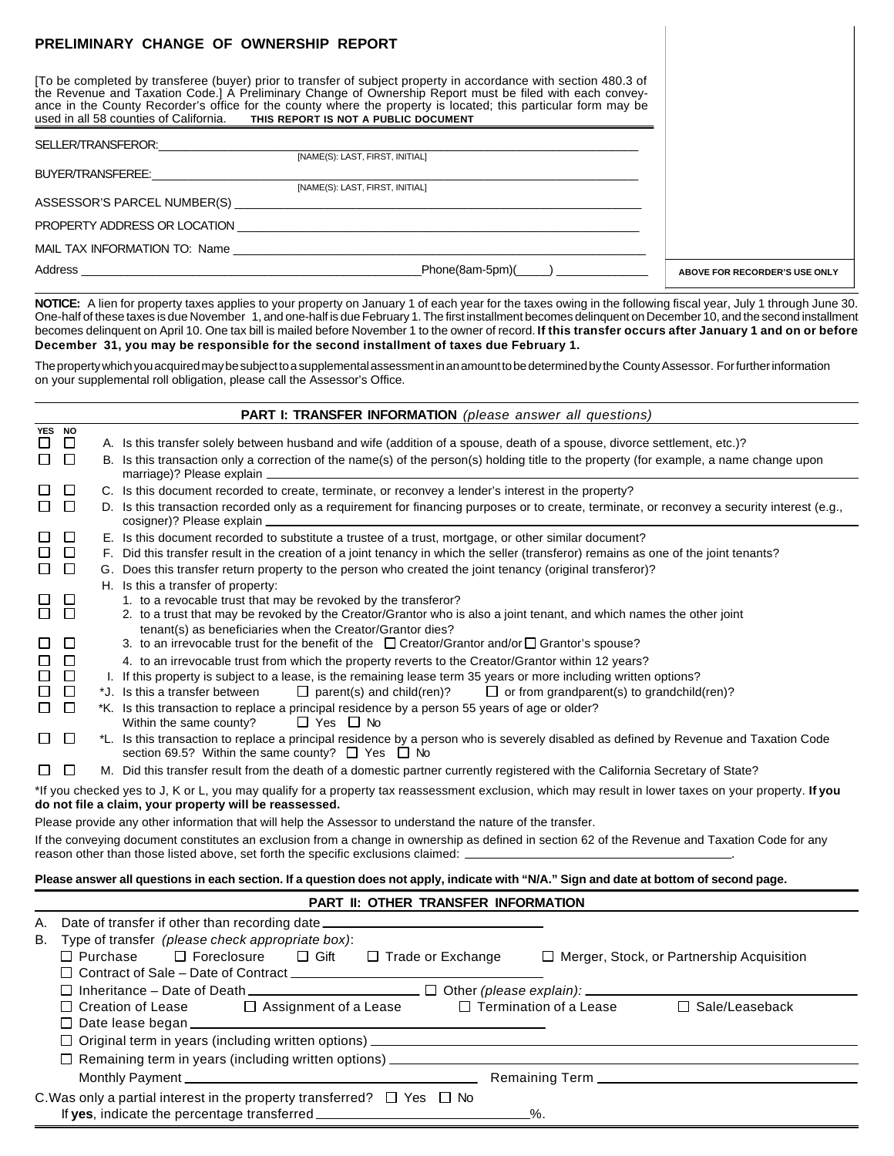| PRELIMINARY CHANGE OF OWNERSHIP REPORT                                                                                                                                                                                                                                                                                                                                                                                        |                               |
|-------------------------------------------------------------------------------------------------------------------------------------------------------------------------------------------------------------------------------------------------------------------------------------------------------------------------------------------------------------------------------------------------------------------------------|-------------------------------|
| [To be completed by transferee (buyer) prior to transfer of subject property in accordance with section 480.3 of<br>the Revenue and Taxation Code.] A Preliminary Change of Ownership Report must be filed with each convey-<br>ance in the County Recorder's office for the county where the property is located; this particular form may be<br>used in all 58 counties of California. THIS REPORT IS NOT A PUBLIC DOCUMENT |                               |
| SELLER/TRANSFEROR: <b>Example 2019</b>                                                                                                                                                                                                                                                                                                                                                                                        |                               |
| [NAME(S): LAST, FIRST, INITIAL]                                                                                                                                                                                                                                                                                                                                                                                               |                               |
| BUYER/TRANSFEREE:                                                                                                                                                                                                                                                                                                                                                                                                             |                               |
| [NAME(S): LAST, FIRST, INITIAL]                                                                                                                                                                                                                                                                                                                                                                                               |                               |
|                                                                                                                                                                                                                                                                                                                                                                                                                               |                               |
|                                                                                                                                                                                                                                                                                                                                                                                                                               |                               |
|                                                                                                                                                                                                                                                                                                                                                                                                                               |                               |
| $Phone(8am-5pm)($ )                                                                                                                                                                                                                                                                                                                                                                                                           | ABOVE FOR RECORDER'S USE ONLY |

**NOTICE:** A lien for property taxes applies to your property on January 1 of each year for the taxes owing in the following fiscal year, July 1 through June 30. One-half of these taxes is due November 1, and one-half is due February 1. The first installment becomes delinquent on December 10, and the second installment becomes delinquent on April 10. One tax bill is mailed before November 1 to the owner of record. **If this transfer occurs after January 1 and on or before December 31, you may be responsible for the second installment of taxes due February 1.**

The property which you acquired may be subject to a supplemental assessment in an amount to be determined by the County Assessor. For further information on your supplemental roll obligation, please call the Assessor's Office.

|                                                                                                                                                       |                          |                 | PART I: TRANSFER INFORMATION (please answer all questions)                                                                                                                                                                                                                                         |  |  |  |  |
|-------------------------------------------------------------------------------------------------------------------------------------------------------|--------------------------|-----------------|----------------------------------------------------------------------------------------------------------------------------------------------------------------------------------------------------------------------------------------------------------------------------------------------------|--|--|--|--|
| <b>YES</b><br>ப<br>$\Box$                                                                                                                             | <b>NO</b><br>$\Box$<br>囗 |                 | A. Is this transfer solely between husband and wife (addition of a spouse, death of a spouse, divorce settlement, etc.)?<br>B. Is this transaction only a correction of the name(s) of the person(s) holding title to the property (for example, a name change upon<br>marriage)? Please explain _ |  |  |  |  |
| $\Box$                                                                                                                                                | $\Box$                   |                 | C. Is this document recorded to create, terminate, or reconvey a lender's interest in the property?                                                                                                                                                                                                |  |  |  |  |
| $\perp$                                                                                                                                               | $\Box$                   |                 | D. Is this transaction recorded only as a requirement for financing purposes or to create, terminate, or reconvey a security interest (e.g.,                                                                                                                                                       |  |  |  |  |
| ப                                                                                                                                                     | □                        |                 | E. Is this document recorded to substitute a trustee of a trust, mortgage, or other similar document?                                                                                                                                                                                              |  |  |  |  |
| Ш                                                                                                                                                     | $\Box$                   |                 | F. Did this transfer result in the creation of a joint tenancy in which the seller (transferor) remains as one of the joint tenants?                                                                                                                                                               |  |  |  |  |
| $\Box$                                                                                                                                                | $\Box$                   |                 | G. Does this transfer return property to the person who created the joint tenancy (original transferor)?                                                                                                                                                                                           |  |  |  |  |
|                                                                                                                                                       |                          |                 | H. Is this a transfer of property:                                                                                                                                                                                                                                                                 |  |  |  |  |
| П                                                                                                                                                     | ப<br>$\Box$              |                 | 1. to a revocable trust that may be revoked by the transferor?<br>2. to a trust that may be revoked by the Creator/Grantor who is also a joint tenant, and which names the other joint                                                                                                             |  |  |  |  |
|                                                                                                                                                       |                          |                 | tenant(s) as beneficiaries when the Creator/Grantor dies?                                                                                                                                                                                                                                          |  |  |  |  |
| ப                                                                                                                                                     | $\Box$                   |                 | 3. to an irrevocable trust for the benefit of the $\Box$ Creator/Grantor and/or $\Box$ Grantor's spouse?                                                                                                                                                                                           |  |  |  |  |
| $\Box$                                                                                                                                                | $\Box$                   |                 | 4. to an irrevocable trust from which the property reverts to the Creator/Grantor within 12 years?                                                                                                                                                                                                 |  |  |  |  |
| □                                                                                                                                                     | $\Box$                   |                 | 1. If this property is subject to a lease, is the remaining lease term 35 years or more including written options?                                                                                                                                                                                 |  |  |  |  |
| ப                                                                                                                                                     | $\Box$                   |                 | *J. Is this a transfer between<br>$\Box$ parent(s) and child(ren)?<br>$\Box$ or from grandparent(s) to grandchild(ren)?                                                                                                                                                                            |  |  |  |  |
| □                                                                                                                                                     | $\Box$                   |                 | *K. Is this transaction to replace a principal residence by a person 55 years of age or older?<br>$\Box$ Yes $\Box$ No<br>Within the same county?                                                                                                                                                  |  |  |  |  |
| ப                                                                                                                                                     | $\Box$                   |                 | *L. Is this transaction to replace a principal residence by a person who is severely disabled as defined by Revenue and Taxation Code<br>section 69.5? Within the same county? □ Yes □ No                                                                                                          |  |  |  |  |
| $\Box$                                                                                                                                                | $\Box$                   |                 | M. Did this transfer result from the death of a domestic partner currently registered with the California Secretary of State?                                                                                                                                                                      |  |  |  |  |
|                                                                                                                                                       |                          |                 | *If you checked yes to J, K or L, you may qualify for a property tax reassessment exclusion, which may result in lower taxes on your property. If you<br>do not file a claim, your property will be reassessed.                                                                                    |  |  |  |  |
|                                                                                                                                                       |                          |                 | Please provide any other information that will help the Assessor to understand the nature of the transfer.                                                                                                                                                                                         |  |  |  |  |
|                                                                                                                                                       |                          |                 | If the conveying document constitutes an exclusion from a change in ownership as defined in section 62 of the Revenue and Taxation Code for any<br>reason other than those listed above, set forth the specific exclusions claimed: $\perp$                                                        |  |  |  |  |
|                                                                                                                                                       |                          |                 | Please answer all questions in each section. If a question does not apply, indicate with "N/A." Sign and date at bottom of second page.                                                                                                                                                            |  |  |  |  |
|                                                                                                                                                       |                          |                 |                                                                                                                                                                                                                                                                                                    |  |  |  |  |
|                                                                                                                                                       |                          |                 | PART II: OTHER TRANSFER INFORMATION                                                                                                                                                                                                                                                                |  |  |  |  |
| А.                                                                                                                                                    |                          |                 | Date of transfer if other than recording date __________________________________                                                                                                                                                                                                                   |  |  |  |  |
| В.                                                                                                                                                    |                          |                 | Type of transfer (please check appropriate box):                                                                                                                                                                                                                                                   |  |  |  |  |
|                                                                                                                                                       |                          | $\Box$ Purchase | $\Box$ Foreclosure<br>$\Box$ Gift<br>□ Trade or Exchange<br>□ Merger, Stock, or Partnership Acquisition                                                                                                                                                                                            |  |  |  |  |
| □ Contract of Sale - Date of Contract ______________<br>$\Box$ Other (please explain):                                                                |                          |                 |                                                                                                                                                                                                                                                                                                    |  |  |  |  |
| $\Box$ Inheritance – Date of Death $\Box$<br>□ Termination of a Lease<br>$\Box$ Sale/Leaseback<br>□ Creation of Lease<br>$\Box$ Assignment of a Lease |                          |                 |                                                                                                                                                                                                                                                                                                    |  |  |  |  |
|                                                                                                                                                       | □ Date lease began       |                 |                                                                                                                                                                                                                                                                                                    |  |  |  |  |
|                                                                                                                                                       |                          |                 |                                                                                                                                                                                                                                                                                                    |  |  |  |  |
|                                                                                                                                                       |                          |                 |                                                                                                                                                                                                                                                                                                    |  |  |  |  |
|                                                                                                                                                       |                          |                 |                                                                                                                                                                                                                                                                                                    |  |  |  |  |
| C. Was only a partial interest in the property transferred? $\Box$ Yes $\Box$ No                                                                      |                          |                 |                                                                                                                                                                                                                                                                                                    |  |  |  |  |
|                                                                                                                                                       |                          |                 | %.                                                                                                                                                                                                                                                                                                 |  |  |  |  |